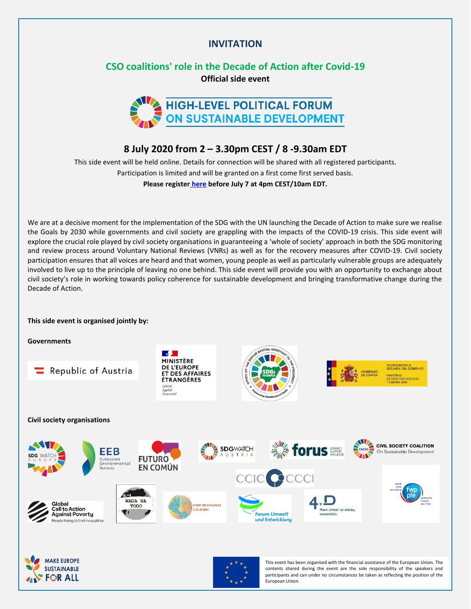## **INVITATION**

# **CSO coalitions' role in the Decade of Action after Covid-19 Official side event**



## **8 July 2020 from 2 – 3.30pm CEST / 8 -9.30am EDT**

This side event will be held online. Details for connection will be shared with all registered participants. Participation is limited and will be granted on a first come first served basis. **Please register [here](https://forms.gle/odEWBkMsrHUQ6yrf9) before July 7 at 4pm CEST/10am EDT.**

We are at a decisive moment for the implementation of the SDG with the UN launching the Decade of Action to make sure we realise the Goals by 2030 while governments and civil society are grappling with the impacts of the COVID-19 crisis. This side event will explore the crucial role played by civil society organisations in guaranteeing a 'whole of society' approach in both the SDG monitoring and review process around Voluntary National Reviews (VNRs) as well as for the recovery measures after COVID-19. Civil society participation ensures that all voices are heard and that women, young people as well as particularly vulnerable groups are adequately involved to live up to the principle of leaving no one behind. This side event will provide you with an opportunity to exchange about civil society's role in working towards policy coherence for sustainable development and bringing transformative change during the Decade of Action.

#### **This side event is organised jointly by:**

**Governments**

**OR ALL** 



European Union.